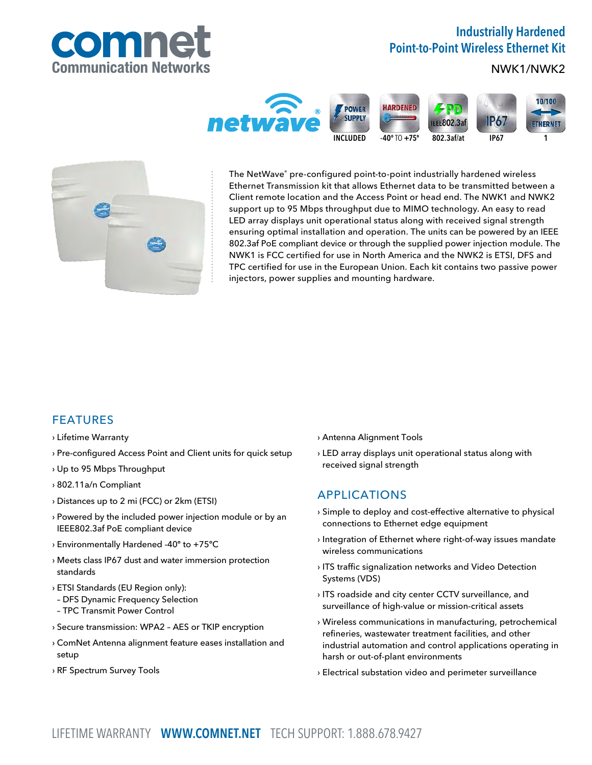

# Industrially Hardened Point-to-Point Wireless Ethernet Kit

## NWK1/NWK2





The NetWave® pre-configured point-to-point industrially hardened wireless Ethernet Transmission kit that allows Ethernet data to be transmitted between a Client remote location and the Access Point or head end. The NWK1 and NWK2 support up to 95 Mbps throughput due to MIMO technology. An easy to read LED array displays unit operational status along with received signal strength ensuring optimal installation and operation. The units can be powered by an IEEE 802.3af PoE compliant device or through the supplied power injection module. The NWK1 is FCC certified for use in North America and the NWK2 is ETSI, DFS and TPC certified for use in the European Union. Each kit contains two passive power injectors, power supplies and mounting hardware.

## FEATURES

#### › Lifetime Warranty

- › Pre-configured Access Point and Client units for quick setup
- › Up to 95 Mbps Throughput
- › 802.11a/n Compliant
- › Distances up to 2 mi (FCC) or 2km (ETSI)
- › Powered by the included power injection module or by an IEEE802.3af PoE compliant device
- › Environmentally Hardened -40º to +75ºC
- › Meets class IP67 dust and water immersion protection standards
- › ETSI Standards (EU Region only):
- DFS Dynamic Frequency Selection
- TPC Transmit Power Control
- › Secure transmission: WPA2 AES or TKIP encryption
- › ComNet Antenna alignment feature eases installation and setup
- › RF Spectrum Survey Tools
- › Antenna Alignment Tools
- › LED array displays unit operational status along with received signal strength

## APPLICATIONS

- › Simple to deploy and cost-effective alternative to physical connections to Ethernet edge equipment
- › Integration of Ethernet where right-of-way issues mandate wireless communications
- › ITS traffic signalization networks and Video Detection Systems (VDS)
- › ITS roadside and city center CCTV surveillance, and surveillance of high-value or mission-critical assets
- › Wireless communications in manufacturing, petrochemical refineries, wastewater treatment facilities, and other industrial automation and control applications operating in harsh or out-of-plant environments
- › Electrical substation video and perimeter surveillance